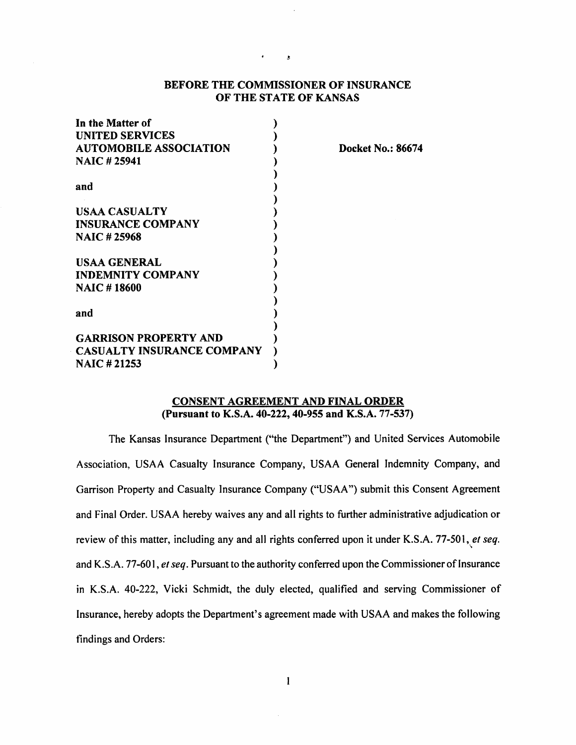# BEFORE THE COMMISSIONER OF INSURANCE OF THE STATE OF KANSAS

 $\overline{\mathbf{z}}$ 

| In the Matter of                                                              |  |                      |  |
|-------------------------------------------------------------------------------|--|----------------------|--|
| <b>UNITED SERVICES</b><br><b>AUTOMOBILE ASSOCIATION</b><br><b>NAIC #25941</b> |  |                      |  |
|                                                                               |  | and                  |  |
|                                                                               |  | <b>USAA CASUALTY</b> |  |
| <b>INSURANCE COMPANY</b>                                                      |  |                      |  |
| <b>NAIC#25968</b>                                                             |  |                      |  |
| USAA GENERAL                                                                  |  |                      |  |
| <b>INDEMNITY COMPANY</b>                                                      |  |                      |  |
| <b>NAIC #18600</b>                                                            |  |                      |  |
| and                                                                           |  |                      |  |
| <b>GARRISON PROPERTY AND</b>                                                  |  |                      |  |
| <b>CASUALTY INSURANCE COMPANY</b>                                             |  |                      |  |
| <b>NAIC #21253</b>                                                            |  |                      |  |

**Docket No.: 86674** 

# **CONSENT AGREEMENT AND FINAL ORDER (Pursuant to K.S.A. 40-222, 40-955 and K.S.A.** 77-537)

The Kansas Insurance Department ("the Department") and United Services Automobile Association, USAA Casualty Insurance Company, USAA General Indemnity Company, and Garrison Property and Casualty Insurance Company ("USAA") submit this Consent Agreement and Final Order. USAA hereby waives any and all rights to further administrative adjudication or review of this matter, including any and all rights conferred upon it under **K.S.A.** 77-501, *et seq.* \ and K.S.A. 77-601, *et seq.* Pursuant to the authority conferred upon the Commissioner of Insurance in K.S.A. 40-222, Vicki Schmidt, the duly elected, qualified and serving Commissioner of Insurance, hereby adopts the Department's agreement made with USAA and makes the following findings and Orders: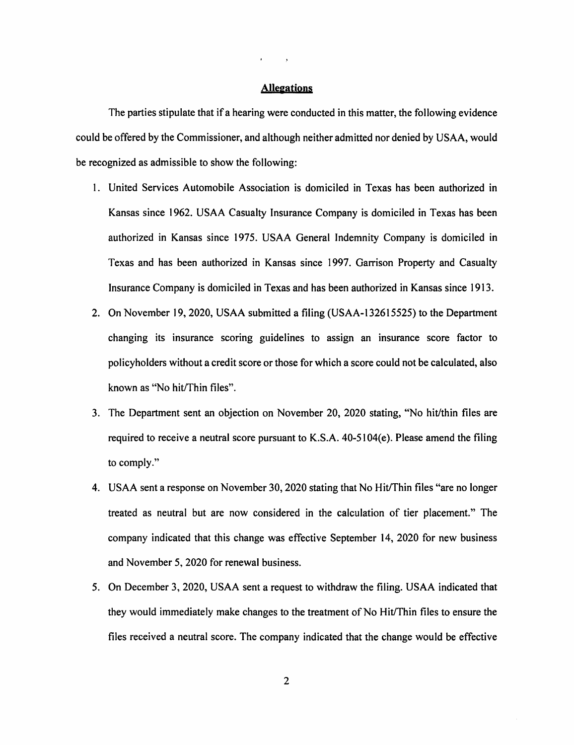# **Allegations**

The parties stipulate that if a hearing were conducted in this matter, the following evidence could be offered by the Commissioner, and although neither admitted nor denied by USAA, would be recognized as admissible to show the following:

- 1. United Services Automobile Association is domiciled in Texas has been authorized in Kansas since 1962. USAA Casualty Insurance Company is domiciled in Texas has been authorized in Kansas since 1975. USAA General Indemnity Company is domiciled in Texas and has been authorized in Kansas since 1997. Garrison Property and Casualty Insurance Company is domiciled in Texas and has been authorized in Kansas since 1913.
- 2. On November 19, 2020, USAA submitted a filing (USAA-132615525) to the Department changing its insurance scoring guidelines to assign an insurance score factor to policyholders without a credit score or those for which a score could not be calculated, also known as "No hit/Thin files".
- 3. The Department sent an objection on November 20, 2020 stating, "No hit/thin files are required to receive a neutral score pursuant to K.S.A. 40-5104(e). Please amend the filing to comply."
- 4. USAA sent a response on November 30, 2020 stating that No Hit/Thin files "are no longer treated as neutral but are now considered in the calculation of tier placement." The company indicated that this change was effective September 14, 2020 for new business and November 5, 2020 for renewal business.
- 5. On December 3, 2020, USAA sent a request to withdraw the filing. USAA indicated that they would immediately make changes to the treatment of No Hit/Thin files to ensure the files received a neutral score. The company indicated that the change would be effective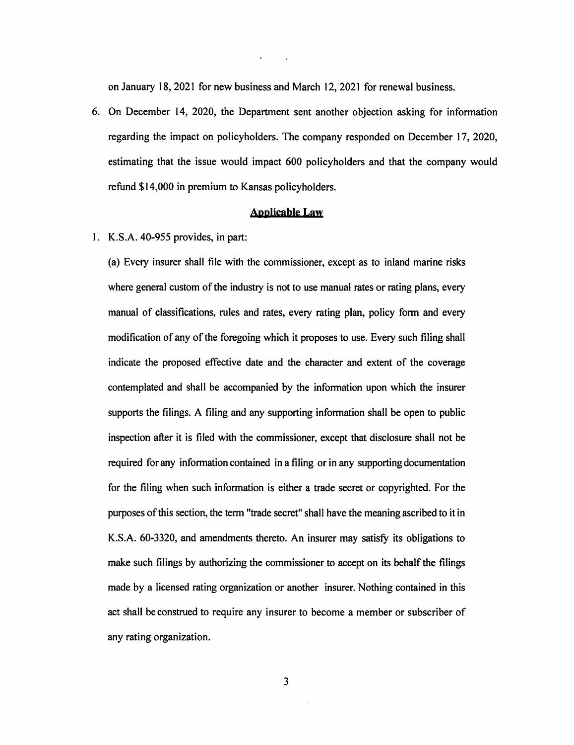on January 18, 2021 for new business and March 12, 2021 for renewal business.

6. On December 14, 2020, the Department sent another objection asking for information regarding the impact on policyholders. The company responded on December 17, 2020, estimating that the issue would impact 600 policyholders and that the company would refund \$14,000 in premium to Kansas policyholders.

#### **AooJieabie Law**

I. K.S.A. 40-955 provides, in part:

(a) Every insurer shall file with the commissioner, except as to inland marine risks where general custom of the industry is not to use manual rates or rating plans, every manual of classifications, rules and rates, every rating plan, policy form and every modification of any of the foregoing which it proposes to use. Every such filing shall indicate the proposed effective date and the character and extent of the coverage contemplated and shall be accompanied by the information upon which the insurer supports the filings. A filing and any supporting information shall be open to public inspection after it is filed with the commissioner, except that disclosure shall not be required for any information contained in a filing or in any supporting documentation for the filing when such information is either a trade secret or copyrighted. For the purposes of this section, the term "trade secret" shall have the meaning ascribed to it in K.S.A. 60-3320, and amendments thereto. An insurer may satisfy its obligations to make such filings by authorizing the commissioner to accept on its behalf the filings made by a licensed rating organization or another insurer. Nothing contained in this act shall be construed to require any insurer to become a member or subscriber of any rating organization.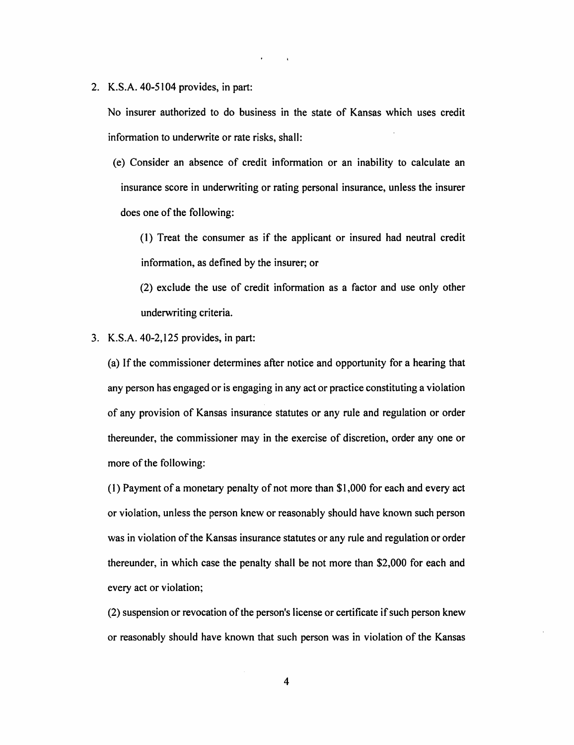2. K.S.A. 40-5104 provides, in part:

No insurer authorized to do business in the state of Kansas which uses credit information to underwrite or rate risks, shall:

( e) Consider an absence of credit information or an inability to calculate an insurance score in underwriting or rating personal insurance, unless the insurer does one of the following:

(I) Treat the consumer as if the applicant or insured had neutral credit information, as defined by the insurer; or

(2) exclude the use of credit information as a factor and use only other underwriting criteria.

3. K.S.A. 40-2,125 provides, in part:

(a) If the commissioner determines after notice and opportunity for a hearing that any person has engaged or is engaging in any act or practice constituting a violation of any provision of Kansas insurance statutes or any rule and regulation or order thereunder, the commissioner may in the exercise of discretion, order any one or more of the following:

(I) Payment of a monetary penalty of not more than \$1,000 for each and every act or violation, unless the person knew or reasonably should have known such person was in violation of the Kansas insurance statutes or any rule and regulation or order thereunder, in which case the penalty shall be not more than \$2,000 for each and every act or violation;

(2) suspension or revocation of the person's license or certificate if such person knew or reasonably should have known that such person was in violation of the Kansas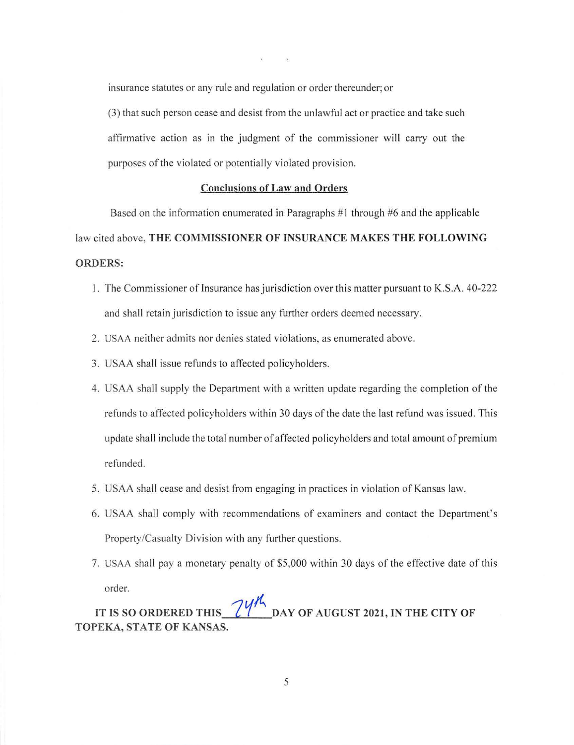insurance statutes or any rule and regulation or order thereunder; or

(3) that such person cease and desist from the unlawful act or practice and take such affirmative action as in the judgment of the commissioner will carry out the purposes of the violated or potentially violated provision.

# **Conclusions of Law and Orders**

Based on the information enumerated in Paragraphs # **1** through #6 and the applicable law cited above, **THE COMMISSIONER OF INSURANCE MAKES THE FOLLOWING ORDERS:** 

- **1.** The Commissioner of Insurance has jurisdiction over this matter pursuant to K.S.A. 40-222 and shall retain jurisdiction to issue any further orders deemed necessary.
- 2. USAA neither admits nor denies stated violations, as enumerated above.
- 3. USAA shall issue refunds to affected policyholders.
- 4. USAA shall supply the Department with a written update regarding the completion of the refunds to affected policyholders within 30 days of the date the last refund was issued. This update shall include the total number of affected policyholders and total amount of premium refunded.
- 5. USAA shall cease and desist from engaging in practices in violation of Kansas law.
- 6. USAA shall comply with recommendations of examiners and contact the Department's Property/Casualty Division with any further questions.
- 7. USAA shall pay a monetary penalty of \$5,000 within 30 days of the effective date of this order.

IT IS SO ORDERED THIS  $\frac{74\%}{60}$  DAY OF AUGUST 2021, IN THE CITY OF **TOPEKA, STATE OF KANSAS.**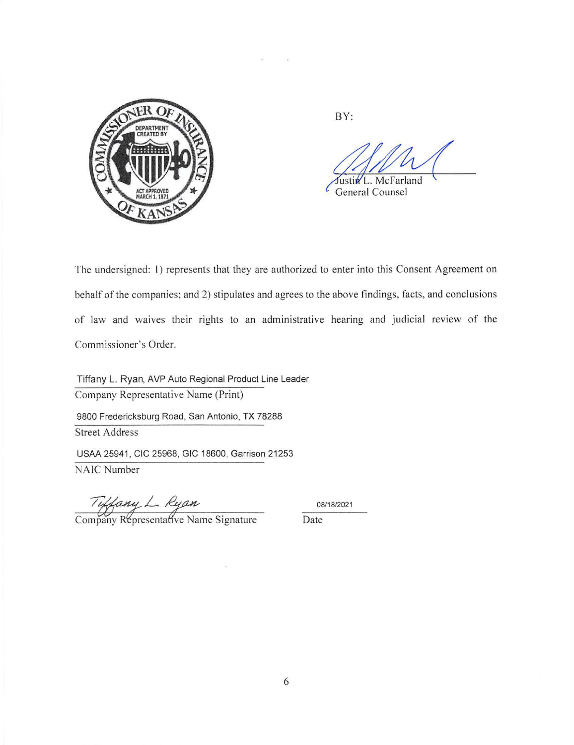

BY:

McFarland Justin L.

General Counsel

The undersigned: 1) represents that they are authorized to enter into this Consent Agreement on behalf of the companies; and 2) stipulates and agrees to the above findings, facts, and conclusions of law and waives their rights to an administrative hearing and judicial review of the Commissioner's Order.

Tiffany L. Ryan, AVP Auto Regional Product Line Leader Company Representative Name (Print) 9800 Fredericksburg Road, San Antonio, TX 78288 Street Address USAA 25941 , CIC 25968, GIC 18600, Garrison 21253

NAIC Number

Tuffany L. Ryan<br>Company Representative Name Signature Date

08/18/2021